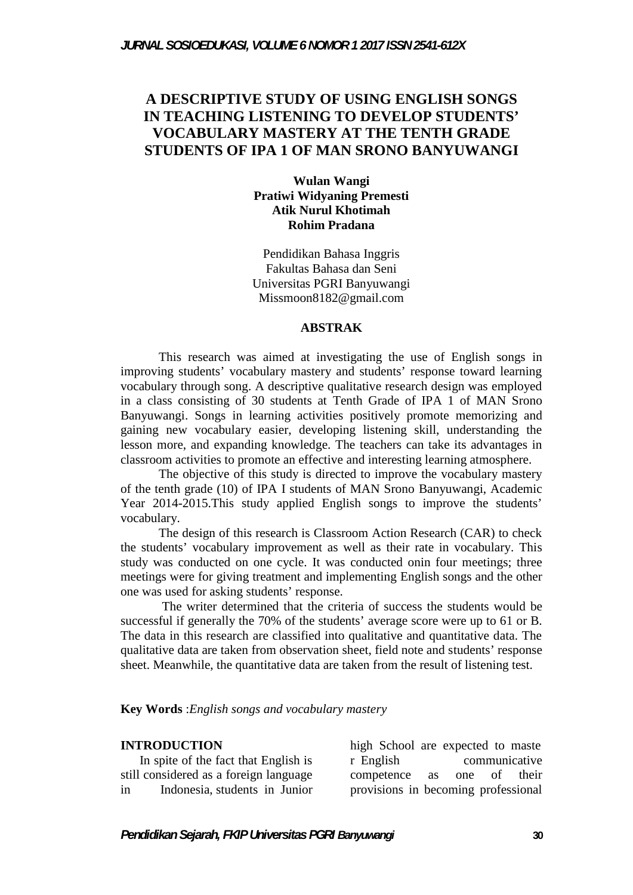# **A DESCRIPTIVE STUDY OF USING ENGLISH SONGS IN TEACHING LISTENING TO DEVELOP STUDENTS' VOCABULARY MASTERY AT THE TENTH GRADE STUDENTS OF IPA 1 OF MAN SRONO BANYUWANGI**

#### **Wulan Wangi Pratiwi Widyaning Premesti Atik Nurul Khotimah Rohim Pradana**

Pendidikan Bahasa Inggris Fakultas Bahasa dan Seni Universitas PGRI Banyuwangi Missmoon8182@gmail.com

#### **ABSTRAK**

This research was aimed at investigating the use of English songs in improving students' vocabulary mastery and students' response toward learning vocabulary through song. A descriptive qualitative research design was employed in a class consisting of 30 students at Tenth Grade of IPA 1 of MAN Srono Banyuwangi. Songs in learning activities positively promote memorizing and gaining new vocabulary easier, developing listening skill, understanding the lesson more, and expanding knowledge. The teachers can take its advantages in classroom activities to promote an effective and interesting learning atmosphere.

The objective of this study is directed to improve the vocabulary mastery of the tenth grade (10) of IPA I students of MAN Srono Banyuwangi, Academic Year 2014-2015.This study applied English songs to improve the students' vocabulary.

The design of this research is Classroom Action Research (CAR) to check the students' vocabulary improvement as well as their rate in vocabulary. This study was conducted on one cycle. It was conducted onin four meetings; three meetings were for giving treatment and implementing English songs and the other one was used for asking students' response.

The writer determined that the criteria of success the students would be successful if generally the 70% of the students' average score were up to 61 or B. The data in this research are classified into qualitative and quantitative data. The qualitative data are taken from observation sheet, field note and students' response sheet. Meanwhile, the quantitative data are taken from the result of listening test.

#### **Key Words** :*English songs and vocabulary mastery*

#### **INTRODUCTION**

In spite of the fact that English is still considered as a foreign language in Indonesia, students in Junior

high School are expected to maste r English communicative competence as one of their provisions in becoming professional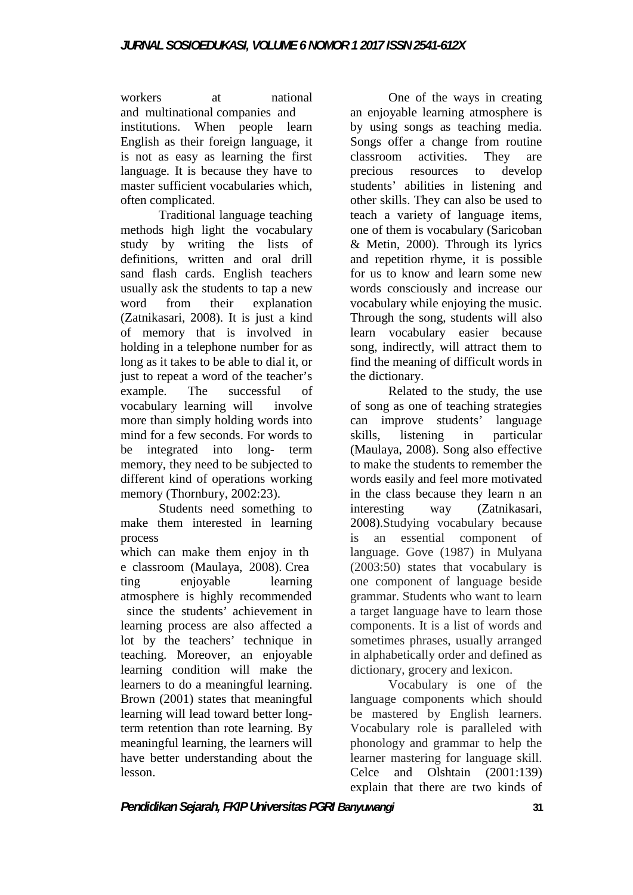workers at national and multinational companies and institutions. When people learn English as their foreign language, it is not as easy as learning the first language. It is because they have to precious master sufficient vocabularies which, often complicated.

Traditional language teaching methods high light the vocabulary study by writing the lists of definitions, written and oral drill sand flash cards. English teachers usually ask the students to tap a new word from their explanation (Zatnikasari, 2008). It is just a kind of memory that is involved in holding in a telephone number for as long as it takes to be able to dial it, or just to repeat a word of the teacher's example. The successful of vocabulary learning will involve more than simply holding words into mind for a few seconds. For words to skills. be integrated into long- term memory, they need to be subjected to different kind of operations working memory (Thornbury, 2002:23).

Students need something to interesting make them interested in learning process

which can make them enjoy in th e classroom (Maulaya, 2008). Crea ting enjoyable learning atmosphere is highly recommended since the students' achievement in learning process are also affected a lot by the teachers' technique in teaching. Moreover, an enjoyable learning condition will make the learners to do a meaningful learning. Brown (2001) states that meaningful learning will lead toward better longterm retention than rote learning. By meaningful learning, the learners will have better understanding about the lesson.

One of the ways in creating an enjoyable learning atmosphere is by using songs as teaching media. Songs offer a change from routine classroom activities. They are resources to develop students' abilities in listening and other skills. They can also be used to teach a variety of language items, one of them is vocabulary (Saricoban & Metin, 2000). Through its lyrics and repetition rhyme, it is possible for us to know and learn some new words consciously and increase our vocabulary while enjoying the music. Through the song, students will also learn vocabulary easier because song, indirectly, will attract them to find the meaning of difficult words in the dictionary.

Related to the study, the use of song as one of teaching strategies can improve students' language listening in particular (Maulaya, 2008). Song also effective to make the students to remember the words easily and feel more motivated in the class because they learn n an way (Zatnikasari, 2008).Studying vocabulary because is an essential component of language. Gove (1987) in Mulyana (2003:50) states that vocabulary is one component of language beside grammar. Students who want to learn a target language have to learn those components. It is a list of words and sometimes phrases, usually arranged in alphabetically order and defined as dictionary, grocery and lexicon.

Vocabulary is one of the language components which should be mastered by English learners. Vocabulary role is paralleled with phonology and grammar to help the learner mastering for language skill. Celce and Olshtain (2001:139) explain that there are two kinds of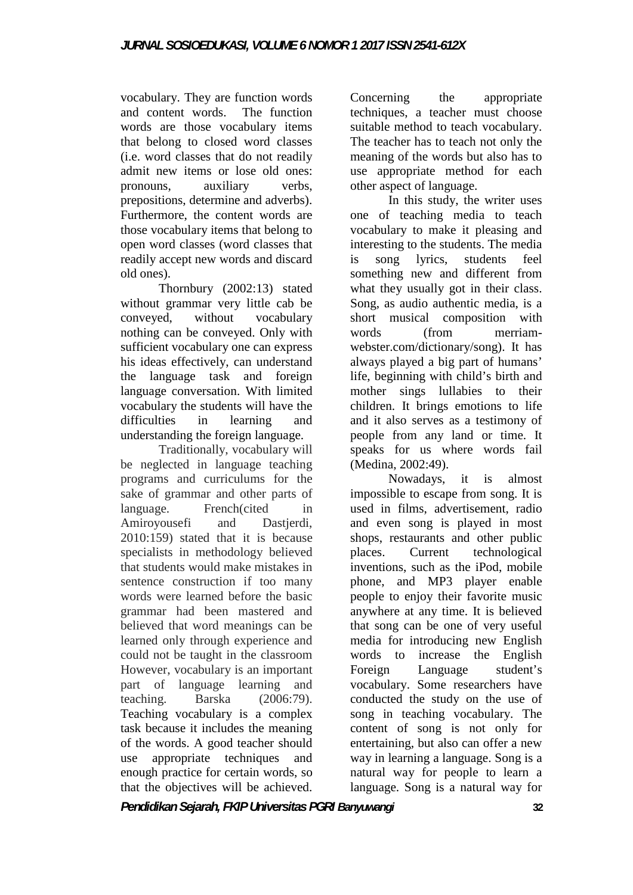vocabulary. They are function words and content words. The function words are those vocabulary items that belong to closed word classes (i.e. word classes that do not readily admit new items or lose old ones: pronouns, auxiliary verbs, prepositions, determine and adverbs). Furthermore, the content words are those vocabulary items that belong to open word classes (word classes that readily accept new words and discard old ones).

Thornbury (2002:13) stated without grammar very little cab be conveyed, without vocabulary nothing can be conveyed. Only with sufficient vocabulary one can express his ideas effectively, can understand the language task and foreign language conversation. With limited vocabulary the students will have the difficulties in learning and understanding the foreign language.

Traditionally, vocabulary will be neglected in language teaching programs and curriculums for the sake of grammar and other parts of language. French(cited in Amiroyousefi and Dastierdi. 2010:159) stated that it is because specialists in methodology believed places. that students would make mistakes in sentence construction if too many words were learned before the basic grammar had been mastered and believed that word meanings can be learned only through experience and could not be taught in the classroom However, vocabulary is an important part of language learning and teaching. Barska (2006:79). Teaching vocabulary is a complex task because it includes the meaning of the words. A good teacher should use appropriate techniques and enough practice for certain words, so that the objectives will be achieved.

Concerning the appropriate techniques, a teacher must choose suitable method to teach vocabulary. The teacher has to teach not only the meaning of the words but also has to use appropriate method for each other aspect of language.

In this study, the writer uses one of teaching media to teach vocabulary to make it pleasing and interesting to the students. The media song lyrics, students feel something new and different from what they usually got in their class. Song, as audio authentic media, is a short musical composition with  $(from$  merriamwebster.com/dictionary/song). It has always played a big part of humans' life, beginning with child's birth and mother sings lullabies to their children. It brings emotions to life and it also serves as a testimony of people from any land or time. It speaks for us where words fail (Medina, 2002:49).

Nowadays, it is almost impossible to escape from song. It is used in films, advertisement, radio and even song is played in most shops, restaurants and other public Current technological inventions, such as the iPod, mobile phone, and MP3 player enable people to enjoy their favorite music anywhere at any time. It is believed that song can be one of very useful media for introducing new English words to increase the English Foreign Language student's vocabulary. Some researchers have conducted the study on the use of song in teaching vocabulary. The content of song is not only for entertaining, but also can offer a new way in learning a language. Song is a natural way for people to learn a language. Song is a natural way for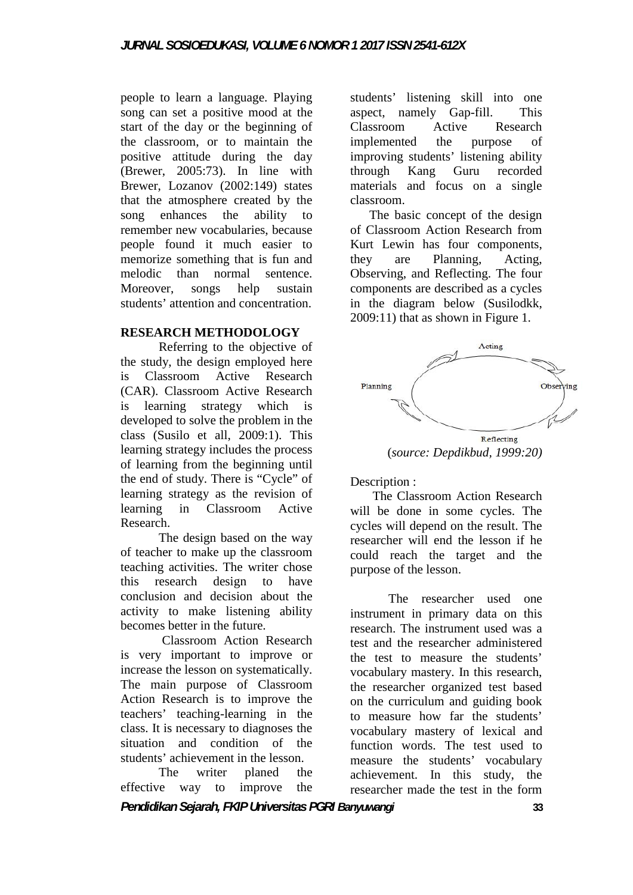people to learn a language. Playing song can set a positive mood at the start of the day or the beginning of the classroom, or to maintain the positive attitude during the day (Brewer, 2005:73). In line with Brewer, Lozanov (2002:149) states that the atmosphere created by the song enhances the ability to remember new vocabularies, because people found it much easier to memorize something that is fun and they melodic than normal sentence. Moreover, songs help sustain students' attention and concentration.

### **RESEARCH METHODOLOGY**

Referring to the objective of the study, the design employed here is Classroom Active Research (CAR). Classroom Active Research is learning strategy which is developed to solve the problem in the class (Susilo et all, 2009:1). This learning strategy includes the process of learning from the beginning until the end of study. There is "Cycle" of learning strategy as the revision of<br>learning in Classroom Active in Classroom Active Research.

The design based on the way of teacher to make up the classroom teaching activities. The writer chose this research design to have conclusion and decision about the activity to make listening ability becomes better in the future.

Classroom Action Research is very important to improve or increase the lesson on systematically. The main purpose of Classroom Action Research is to improve the teachers' teaching-learning in the class. It is necessary to diagnoses the situation and condition of the students' achievement in the lesson.

The writer planed the effective way to improve the

students' listening skill into one aspect, namely Gap-fill. This Classroom Active Research implemented the purpose of improving students' listening ability Kang Guru recorded materials and focus on a single classroom.

The basic concept of the design of Classroom Action Research from Kurt Lewin has four components, are Planning, Acting, Observing, and Reflecting. The four components are described as a cycles in the diagram below (Susilodkk, 2009:11) that as shown in Figure 1.



Description :

The Classroom Action Research will be done in some cycles. The cycles will depend on the result. The researcher will end the lesson if he could reach the target and the purpose of the lesson.

The researcher used one instrument in primary data on this research. The instrument used was a test and the researcher administered the test to measure the students' vocabulary mastery. In this research, the researcher organized test based on the curriculum and guiding book to measure how far the students' vocabulary mastery of lexical and function words. The test used to measure the students' vocabulary achievement. In this study, the researcher made the test in the form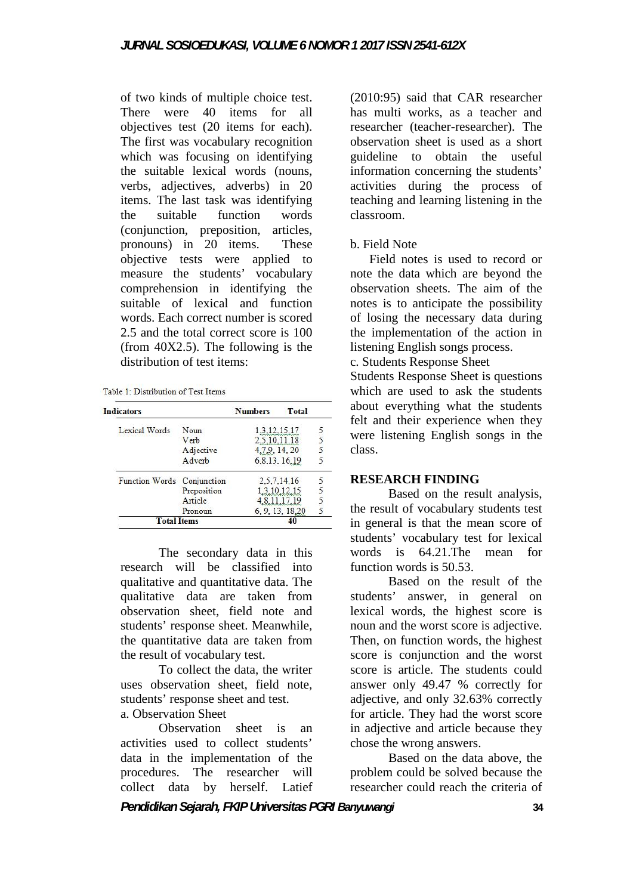of two kinds of multiple choice test. There were 40 items for all objectives test (20 items for each). The first was vocabulary recognition which was focusing on identifying the suitable lexical words (nouns, verbs, adjectives, adverbs) in 20 items. The last task was identifying the suitable function words (conjunction, preposition, articles, pronouns) in 20 items. These objective tests were applied to measure the students' vocabulary comprehension in identifying the suitable of lexical and function words. Each correct number is scored 2.5 and the total correct score is 100 (from 40X2.5). The following is the distribution of test items:

Table 1: Distribution of Test Items

| <b>Indicators</b>          |             | <b>Numbers</b> | Total      |  |
|----------------------------|-------------|----------------|------------|--|
| Lexical Words              | Noun        | 1,3,12,15,17   |            |  |
|                            | Verb        | 5.10.11.18     |            |  |
|                            | Adjective   | 4,7,9, 14, 20  |            |  |
|                            | Adverb      | 6,8,13, 16,19  |            |  |
| Function Words Conjunction |             | 2.5.7.14.16    |            |  |
|                            | Preposition | 1.3.10.12.15   |            |  |
|                            | Article     |                | 8.11.17.19 |  |
|                            | Pronoun     | 6.9.13.18.20   |            |  |
| <b>Total Items</b>         |             |                |            |  |

The secondary data in this research will be classified into qualitative and quantitative data. The qualitative data are taken from observation sheet, field note and students' response sheet. Meanwhile, the quantitative data are taken from the result of vocabulary test.

To collect the data, the writer uses observation sheet, field note, students' response sheet and test.

a. Observation Sheet

Observation sheet is an activities used to collect students' data in the implementation of the procedures. The researcher will collect data by herself. Latief

(2010:95) said that CAR researcher has multi works, as a teacher and researcher (teacher-researcher). The observation sheet is used as a short guideline to obtain the useful information concerning the students' activities during the process of teaching and learning listening in the classroom.

### b. Field Note

Field notes is used to record or note the data which are beyond the observation sheets. The aim of the notes is to anticipate the possibility of losing the necessary data during the implementation of the action in listening English songs process.

c. Students Response Sheet

Students Response Sheet is questions which are used to ask the students about everything what the students felt and their experience when they were listening English songs in the class.

### **RESEARCH FINDING**

Based on the result analysis, the result of vocabulary students test in general is that the mean score of students' vocabulary test for lexical words is 64.21.The mean for function words is 50.53.

Based on the result of the students' answer, in general on lexical words, the highest score is noun and the worst score is adjective. Then, on function words, the highest score is conjunction and the worst score is article. The students could answer only 49.47 % correctly for adjective, and only 32.63% correctly for article. They had the worst score in adjective and article because they chose the wrong answers.

Based on the data above, the problem could be solved because the researcher could reach the criteria of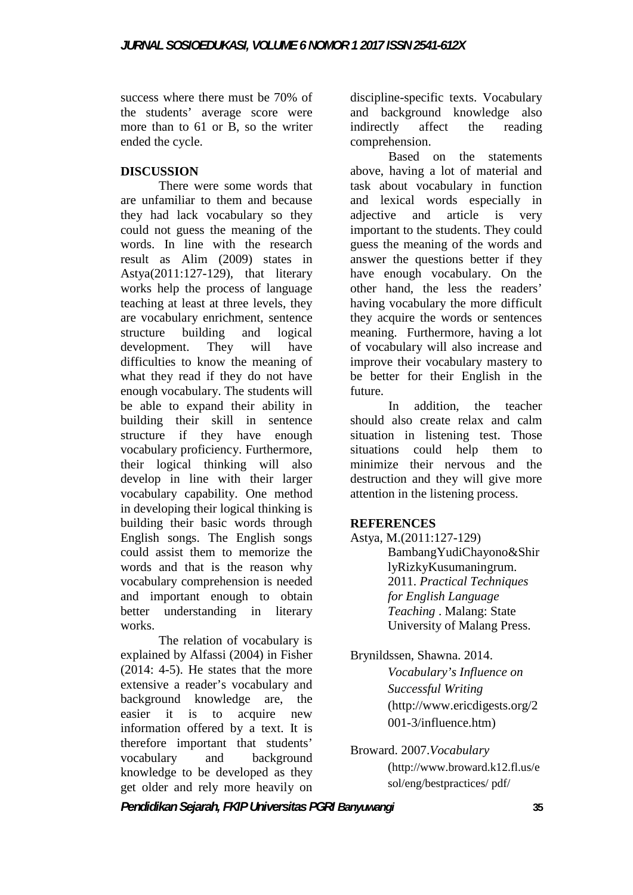success where there must be 70% of the students' average score were more than to 61 or B, so the writer ended the cycle.

### **DISCUSSION**

There were some words that are unfamiliar to them and because they had lack vocabulary so they could not guess the meaning of the words. In line with the research result as Alim (2009) states in Astya(2011:127-129), that literary works help the process of language teaching at least at three levels, they are vocabulary enrichment, sentence structure building and logical development. They will have difficulties to know the meaning of what they read if they do not have enough vocabulary. The students will be able to expand their ability in building their skill in sentence structure if they have enough vocabulary proficiency. Furthermore, their logical thinking will also develop in line with their larger vocabulary capability. One method in developing their logical thinking is building their basic words through English songs. The English songs could assist them to memorize the words and that is the reason why vocabulary comprehension is needed and important enough to obtain better understanding in literary works.

The relation of vocabulary is explained by Alfassi (2004) in Fisher  $(2014: 4-5)$ . He states that the more extensive a reader's vocabulary and background knowledge are, the easier it is to acquire new information offered by a text. It is therefore important that students' vocabulary and background knowledge to be developed as they get older and rely more heavily on discipline-specific texts. Vocabulary and background knowledge also indirectly affect the reading comprehension.

Based on the statements above, having a lot of material and task about vocabulary in function and lexical words especially in and article is very important to the students. They could guess the meaning of the words and answer the questions better if they have enough vocabulary. On the other hand, the less the readers' having vocabulary the more difficult they acquire the words or sentences meaning. Furthermore, having a lot of vocabulary will also increase and improve their vocabulary mastery to be better for their English in the future.

In addition, the teacher should also create relax and calm situation in listening test. Those situations could help them to minimize their nervous and the destruction and they will give more attention in the listening process.

## **REFERENCES**

Astya, M.(2011:127-129) BambangYudiChayono&Shir lyRizkyKusumaningrum. 2011. *Practical Techniques for English Language Teaching* . Malang: State University of Malang Press.

Brynildssen, Shawna. 2014. *Vocabulary's Influence on Successful Writing* (http://www.ericdigests.org/2 001-3/influence.htm)

Broward. 2007.*Vocabulary* (http://www.broward.k12.fl.us/e sol/eng/bestpractices/ pdf/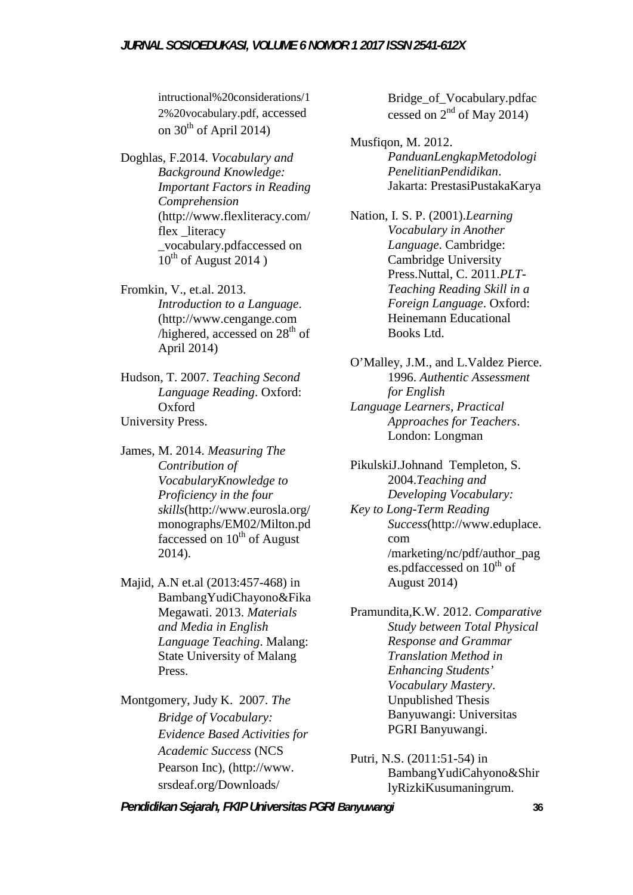#### *JURNAL SOSIOEDUKASI, VOLUME 6 NOMOR 1 2017 ISSN 2541-612X*

intructional%20considerations/1 2%20vocabulary.pdf, accessed on  $30<sup>th</sup>$  of April 2014)

Doghlas, F.2014. *Vocabulary and Background Knowledge: Important Factors in Reading Comprehension* (http://www.flexliteracy.com/ flex literacy \_vocabulary.pdfaccessed on  $10^{th}$  of August 2014)

Fromkin, V., et.al. 2013. *Introduction to a Language*. (http://www.cengange.com /highered, accessed on  $28<sup>th</sup>$  of April 2014)

Hudson, T. 2007. *Teaching Second Language Reading*. Oxford: Oxford University Press.

James, M. 2014. *Measuring The Contribution of VocabularyKnowledge to Proficiency in the four skills*(http://www.eurosla.org/ monographs/EM02/Milton.pd faccessed on  $10^{th}$  of August 2014).

Majid, A.N et.al (2013:457-468) in BambangYudiChayono&Fika Megawati. 2013. *Materials and Media in English Language Teaching*. Malang: State University of Malang Press.

Montgomery, Judy K. 2007. *The Bridge of Vocabulary: Evidence Based Activities for Academic Success* (NCS Pearson Inc), (http://www. srsdeaf.org/Downloads/

Bridge\_of\_Vocabulary.pdfac cessed on  $2<sup>nd</sup>$  of May 2014)

Musfiqon, M. 2012. *PanduanLengkapMetodologi PenelitianPendidikan*. Jakarta: PrestasiPustakaKarya

Nation, I. S. P. (2001).*Learning Vocabulary in Another Language*. Cambridge: Cambridge University Press.Nuttal, C. 2011.*PLT- Teaching Reading Skill in a Foreign Language*. Oxford: Heinemann Educational Books Ltd.

O'Malley, J.M., and L.Valdez Pierce. 1996. *Authentic Assessment for English Language Learners, Practical Approaches for Teachers*. London: Longman

PikulskiJ.Johnand Templeton, S. 2004.*Teaching and Developing Vocabulary: Key to Long-Term Reading Success*(http://www.eduplace. com /marketing/nc/pdf/author\_pag es.pdfaccessed on  $10^{th}$  of August 2014)

Pramundita,K.W. 2012. *Comparative Study between Total Physical Response and Grammar Translation Method in Enhancing Students' Vocabulary Mastery*. Unpublished Thesis Banyuwangi: Universitas PGRI Banyuwangi.

Putri, N.S. (2011:51-54) in BambangYudiCahyono&Shir lyRizkiKusumaningrum.